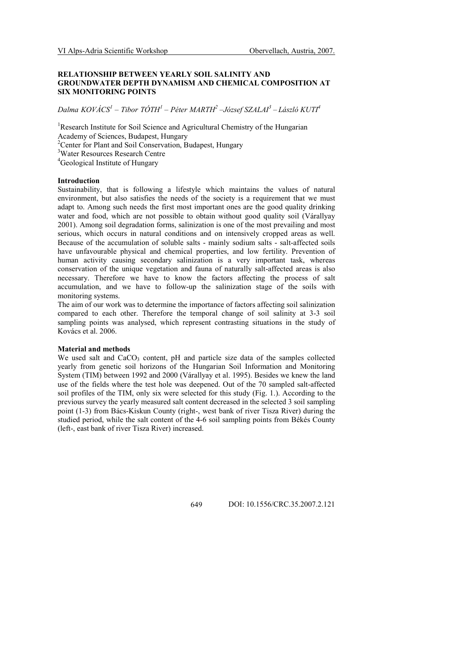# RELATIONSHIP BETWEEN YEARLY SOIL SALINITY AND GROUNDWATER DEPTH DYNAMISM AND CHEMICAL COMPOSITION AT SIX MONITORING POINTS

Dalma KOVÁCS<sup>1</sup> – Tibor TÓTH<sup>1</sup> – Péter MARTH<sup>2</sup> –József SZALAI<sup>3</sup> – László KUTI<sup>4</sup>

<sup>1</sup>Research Institute for Soil Science and Agricultural Chemistry of the Hungarian Academy of Sciences, Budapest, Hungary <sup>2</sup>Center for Plant and Soil Conservation, Budapest, Hungary <sup>3</sup>Water Resources Research Centre

<sup>4</sup>Geological Institute of Hungary

### Introduction

Sustainability, that is following a lifestyle which maintains the values of natural environment, but also satisfies the needs of the society is a requirement that we must adapt to. Among such needs the first most important ones are the good quality drinking water and food, which are not possible to obtain without good quality soil (Várallyay 2001). Among soil degradation forms, salinization is one of the most prevailing and most serious, which occurs in natural conditions and on intensively cropped areas as well. Because of the accumulation of soluble salts - mainly sodium salts - salt-affected soils have unfavourable physical and chemical properties, and low fertility. Prevention of human activity causing secondary salinization is a very important task, whereas conservation of the unique vegetation and fauna of naturally salt-affected areas is also necessary. Therefore we have to know the factors affecting the process of salt accumulation, and we have to follow-up the salinization stage of the soils with monitoring systems.

The aim of our work was to determine the importance of factors affecting soil salinization compared to each other. Therefore the temporal change of soil salinity at 3-3 soil sampling points was analysed, which represent contrasting situations in the study of Kovács et al. 2006.

## Material and methods

We used salt and  $CaCO<sub>3</sub>$  content, pH and particle size data of the samples collected yearly from genetic soil horizons of the Hungarian Soil Information and Monitoring System (TIM) between 1992 and 2000 (Várallyay et al. 1995). Besides we knew the land use of the fields where the test hole was deepened. Out of the 70 sampled salt-affected soil profiles of the TIM, only six were selected for this study (Fig. 1.). According to the previous survey the yearly measured salt content decreased in the selected 3 soil sampling point (1-3) from Bács-Kiskun County (right-, west bank of river Tisza River) during the studied period, while the salt content of the 4-6 soil sampling points from Békés County (left-, east bank of river Tisza River) increased.

649 DOI: 10.1556/CRC.35.2007.2.121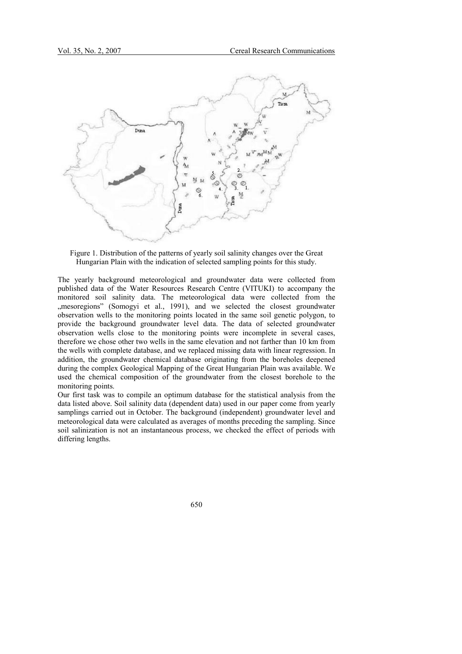

Figure 1. Distribution of the patterns of yearly soil salinity changes over the Great Hungarian Plain with the indication of selected sampling points for this study.

The yearly background meteorological and groundwater data were collected from published data of the Water Resources Research Centre (VITUKI) to accompany the monitored soil salinity data. The meteorological data were collected from the , mesoregions" (Somogyi et al., 1991), and we selected the closest groundwater observation wells to the monitoring points located in the same soil genetic polygon, to provide the background groundwater level data. The data of selected groundwater observation wells close to the monitoring points were incomplete in several cases, therefore we chose other two wells in the same elevation and not farther than 10 km from the wells with complete database, and we replaced missing data with linear regression. In addition, the groundwater chemical database originating from the boreholes deepened during the complex Geological Mapping of the Great Hungarian Plain was available. We used the chemical composition of the groundwater from the closest borehole to the monitoring points.

Our first task was to compile an optimum database for the statistical analysis from the data listed above. Soil salinity data (dependent data) used in our paper come from yearly samplings carried out in October. The background (independent) groundwater level and meteorological data were calculated as averages of months preceding the sampling. Since soil salinization is not an instantaneous process, we checked the effect of periods with differing lengths.

650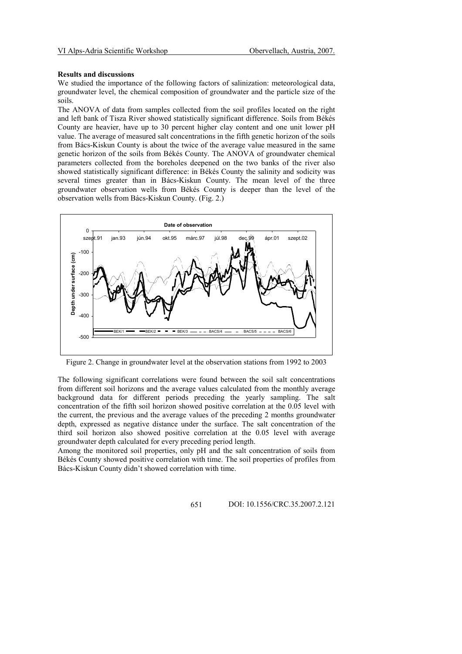# Results and discussions

We studied the importance of the following factors of salinization: meteorological data, groundwater level, the chemical composition of groundwater and the particle size of the soils.

The ANOVA of data from samples collected from the soil profiles located on the right and left bank of Tisza River showed statistically significant difference. Soils from Békés County are heavier, have up to 30 percent higher clay content and one unit lower pH value. The average of measured salt concentrations in the fifth genetic horizon of the soils from Bács-Kiskun County is about the twice of the average value measured in the same genetic horizon of the soils from Békés County. The ANOVA of groundwater chemical parameters collected from the boreholes deepened on the two banks of the river also showed statistically significant difference: in Békés County the salinity and sodicity was several times greater than in Bács-Kiskun County. The mean level of the three groundwater observation wells from Békés County is deeper than the level of the observation wells from Bács-Kiskun County. (Fig. 2.)



Figure 2. Change in groundwater level at the observation stations from 1992 to 2003

The following significant correlations were found between the soil salt concentrations from different soil horizons and the average values calculated from the monthly average background data for different periods preceding the yearly sampling. The salt concentration of the fifth soil horizon showed positive correlation at the 0.05 level with the current, the previous and the average values of the preceding 2 months groundwater depth, expressed as negative distance under the surface. The salt concentration of the third soil horizon also showed positive correlation at the 0.05 level with average groundwater depth calculated for every preceding period length.

Among the monitored soil properties, only pH and the salt concentration of soils from Békés County showed positive correlation with time. The soil properties of profiles from Bács-Kiskun County didn't showed correlation with time.

651 DOI: 10.1556/CRC.35.2007.2.121